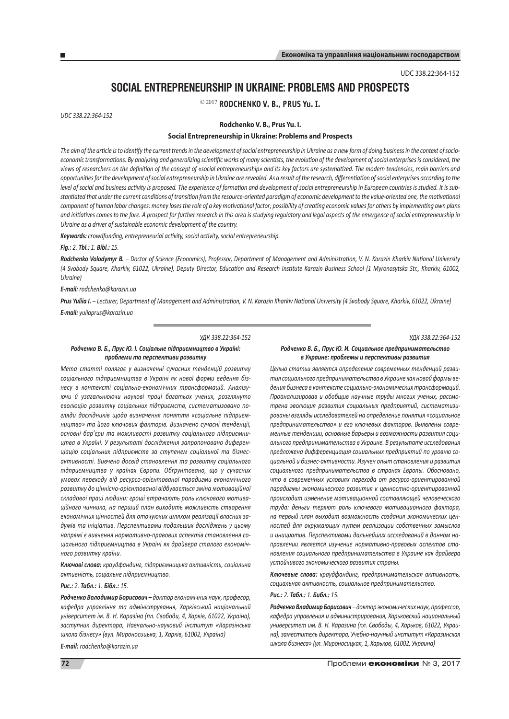UDC 338.22:364-152

# **Social Entrepreneurship in Ukraine: Problems and Prospects**

2017 **Rodchenko V. B., Prus Yu. I.**

*UDC 338.22:364-152*

### **Rodchenko V. B., Prus Yu. I.**

### **Social Entrepreneurship in Ukraine: Problems and Prospects**

*The aim of the article is to identify the current trends in the development of social entrepreneurship in Ukraine as a new form of doing business in the context of socio*economic transformations. By analyzing and generalizing scientific works of many scientists, the evolution of the development of social enterprises is considered, the *views of researchers on the definition of the concept of «social entrepreneurship» and its key factors are systematized. The modern tendencies, main barriers and opportunities for the development of social entrepreneurship in Ukraine are revealed. As a result of the research, differentiation of social enterprises according to the level of social and business activity is proposed. The experience of formation and development of social entrepreneurship in European countries is studied. It is substantiated that under the current conditions of transition from the resource-oriented paradigm of economic development to the value-oriented one, the motivational component of human labor changes: money loses the role of a key motivational factor; possibility of creating economic values for others by implementing own plans and initiatives comes to the fore. A prospect for further research in this area is studying regulatory and legal aspects of the emergence of social entrepreneurship in Ukraine as a driver of sustainable economic development of the country.*

*Keywords: crowdfunding, entrepreneurial activity, social activity, social entrepreneurship.*

*Fig.: 2. Tbl.: 1. Bibl.: 15.* 

*Rodchenko Volodymyr B. – Doctor of Science (Economics), Professor, Department of Management and Administration, V. N. Karazin Kharkiv National University (4 Svobody Square, Kharkіv, 61022, Ukraine), Deputy Director, Education and Research Institute Karazin Business School (1 Myronosytska Str., Kharkіv, 61002, Ukraine)*

*E-mail: rodchenko@karazin.ua*

*Prus Yuliia I. – Lecturer, Department of Management and Administration, V. N. Karazin Kharkiv National University (4 Svobody Square, Kharkіv, 61022, Ukraine) E-mail: yuliaprus@karazin.ua*

#### *УДК 338.22:364-152*

#### *Родченко В. Б., Прус Ю. І. Соціальне підприємництво в Україні: проблеми та перспективи розвитку*

*Мета статті полягає у визначенні сучасних тенденцій розвитку соціального підприємництва в Україні як нової форми ведення бізнесу в контексті соціально-економічних трансформацій. Аналізуючи й узагальнюючи наукові праці багатьох учених, розглянуто еволюцію розвитку соціальних підприємств, систематизовано погляди дослідників щодо визначення поняття «соціальне підприємництво» та його ключових факторів. Визначено сучасні тенденції, основні бар'єри та можливості розвитку соціального підприємництва в Україні. У результаті дослідження запропоновано диференціацію соціальних підприємств за ступенем соціальної та бізнесактивності. Вивчено досвід становлення та розвитку соціального підприємництва у країнах Європи. Обґрунтовано, що у сучасних умовах переходу від ресурсо-орієнтованої парадигми економічного розвитку до ціннісно-орієнтованої відбувається зміна мотиваційної складової праці людини: гроші втрачають роль ключового мотиваційного чинника, на перший план виходить можливість створення економічних цінностей для оточуючих шляхом реалізації власних задумів та ініціатив. Перспективами подальших досліджень у цьому напрямі є вивчення нормативно-правових аспектів становлення соціального підприємництва в Україні як драйвера сталого економічного розвитку країни.*

*Ключові слова: краудфандинг, підприємницька активність, соціальна активність, соціальне підприємництво.*

## *Рис.: 2. Табл.: 1. Бібл.: 15.*

*Родченко Володимир Борисович – доктор економічних наук, професор, кафедра управління та адміністрування, Харківський національний університет ім. В. Н. Каразіна (пл. Свободи, 4, Харків, 61022, Україна), заступник директора, Навчально-науковий інститут «Каразінська школа бізнесу» (вул. Мироносицька, 1, Харків, 61002, Україна)*

*E-mail: rodchenko@karazin.ua*

*УДК 338.22:364-152*

#### *Родченко В. Б., Прус Ю. И. Социальное предпринимательство в Украине: проблемы и перспективы развития*

*Целью статьи является определение современных тенденций развития социального предпринимательства в Украине как новой формы ведения бизнеса в контексте социально-экономических трансформаций. Проанализировав и обобщив научные труды многих ученых, рассмотрена эволюция развития социальных предприятий, систематизированы взгляды исследователей на определение понятия «социальное предпринимательство» и его ключевых факторов. Выявлены современные тенденции, основные барьеры и возможности развития социального предпринимательства в Украине. В результате исследования предложена дифференциация социальных предприятий по уровню социальной и бизнес-активности. Изучен опыт становления и развития социального предпринимательства в странах Европы. Обосновано, что в современных условиях перехода от ресурсо-ориентированной парадигмы экономического развития к ценностно-ориентированной происходит изменение мотивационной составляющей человеческого труда: деньги теряют роль ключевого мотивационного фактора, на первый план выходит возможность создания экономических ценностей для окружающих путем реализации собственных замыслов и инициатив. Перспективами дальнейших исследований в данном направлении является изучение нормативно-правовых аспектов становления социального предпринимательства в Украине как драйвера устойчивого экономического развития страны.*

*Ключевые слова: краудфандинг, предпринимательская активность, социальная активность, социальное предпринимательство.*

# *Рис.: 2. Табл.: 1. Библ.: 15.*

*Родченко Владимир Борисович – доктор экономических наук, профессор, кафедра управления и администрирования, Харьковский национальный университет им. В. Н. Каразина (пл. Свободы, 4, Харьков, 61022, Украина), заместитель директора, Учебно-научный институт «Каразинская школа бизнеса» (ул. Мироносицкая, 1, Харьков, 61002, Украина)*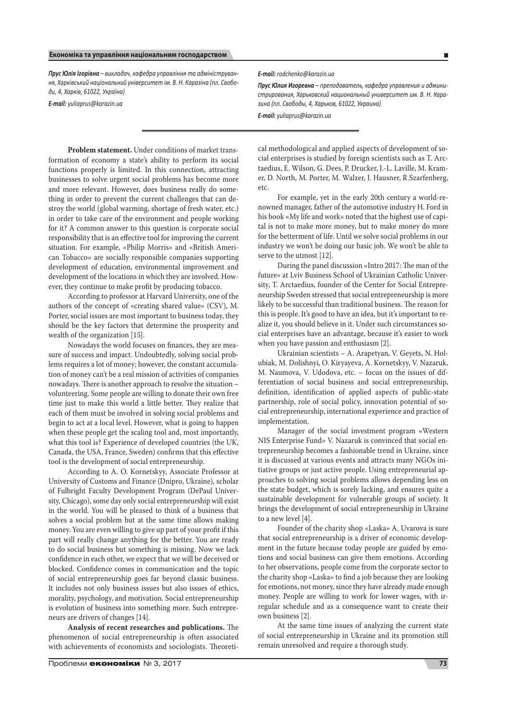*Прус Юлія Ігорівна – викладач, кафедра управління та адміністрування, Харківський національний університет ім. В. Н. Каразіна (пл. Свободи, 4, Харків, 61022, Україна)*

*E-mail: yuliaprus@karazin.ua*

*E-mail: rodchenko@karazin.ua*

*Прус Юлия Игоревна – преподаватель, кафедра управления и администрирования, Харьковский национальный университет им. В. Н. Каразина (пл. Свободы, 4, Харьков, 61022, Украина)*

*E-mail: yuliaprus@karazin.ua*

**Problem statement.** Under conditions of market transformation of economy a state's ability to perform its social functions properly is limited. In this connection, attracting businesses to solve urgent social problems has become more and more relevant. However, does business really do something in order to prevent the current challenges that can destroy the world (global warming, shortage of fresh water, etc.) in order to take care of the environment and people working for it? A common answer to this question is corporate social responsibility that is an effective tool for improving the current situation. For example, «Philip Morris» and «British American Tobacco» are socially responsible companies supporting development of education, environmental improvement and development of the locations in which they are involved. However, they continue to make profit by producing tobacco.

According to professor at Harvard University, one of the authors of the concept of «creating shared value» (CSV), M. Porter, social issues are most important to business today, they should be the key factors that determine the prosperity and wealth of the organization [15].

Nowadays the world focuses on finances, they are measure of success and impact. Undoubtedly, solving social problems requires a lot of money; however, the constant accumulation of money can't be a real mission of activities of companies nowadays. There is another approach to resolve the situation – volunteering. Some people are willing to donate their own free time just to make this world a little better. They realize that each of them must be involved in solving social problems and begin to act at a local level. However, what is going to happen when these people get the scaling tool and, most importantly, what this tool is? Experience of developed countries (the UK, Canada, the USA, France, Sweden) confirms that this effective tool is the development of social entrepreneurship.

According to A. O. Kornetskyy, Associate Professor at University of Customs and Finance (Dnipro, Ukraine), scholar of Fulbright Faculty Development Program (DePaul University, Chicago), some day only social entrepreneurship will exist in the world. You will be pleased to think of a business that solves a social problem but at the same time allows making money. You are even willing to give up part of your profit if this part will really change anything for the better. You are ready to do social business but something is missing. Now we lack confidence in each other, we expect that we will be deceived or blocked. Confidence comes in communication and the topic of social entrepreneurship goes far beyond classic business. It includes not only business issues but also issues of ethics, morality, psychology, and motivation. Social entrepreneurship is evolution of business into something more. Such entrepreneurs are drivers of changes [14].

**Analysis of recent researches and publications.** The phenomenon of social entrepreneurship is often associated with achievements of economists and sociologists. Theoretical methodological and applied aspects of development of social enterprises is studied by foreign scientists such as T. Arctaedius, E. Wilson, G. Dees, P. Drucker, J.-L. Laville, M. Kramer, D. North, M. Porter, M. Walzer, J. Hausner, R.Szarfenberg, etc.

For example, yet in the early 20th century a world-renowned manager, father of the automotive industry H. Ford in his book «My life and work» noted that the highest use of capital is not to make more money, but to make money do more for the betterment of life. Until we solve social problems in our industry we won't be doing our basic job. We won't be able to serve to the utmost [12].

During the panel discussion «Intro 2017: The man of the future» at Lviv Business School of Ukrainian Catholic University, T. Arctaedius, founder of the Center for Social Entrepreneurship Sweden stressed that social entrepreneurship is more likely to be successful than traditional business. The reason for this is people. It's good to have an idea, but it's important to realize it, you should believe in it. Under such circumstances social enterprises have an advantage, because it's easier to work when you have passion and enthusiasm [2].

Ukrainian scientists – A. Arapetyan, V. Geyets, N. Holubiak, M. Dolishnyi, O. Kiryayeva, A. Kornetskyy, V. Nazaruk, M. Naumova, V. Udodova, etc. – focus on the issues of differentiation of social business and social entrepreneurship, definition, identification of applied aspects of public-state partnership, role of social policy, innovation potential of social entrepreneurship, international experience and practice of implementation.

Manager of the social investment program «Western NIS Enterprise Fund» V. Nazaruk is convinced that social entrepreneurship becomes a fashionable trend in Ukraine, since it is discussed at various events and attracts many NGOs initiative groups or just active people. Using entrepreneurial approaches to solving social problems allows depending less on the state budget, which is sorely lacking, and ensures quite a sustainable development for vulnerable groups of society. It brings the development of social entrepreneurship in Ukraine to a new level [4].

Founder of the charity shop «Laska» A. Uvarova is sure that social entrepreneurship is a driver of economic development in the future because today people are guided by emotions and social business can give them emotions. According to her observations, people come from the corporate sector to the charity shop «Laska» to find a job because they are looking for emotions, not money, since they have already made enough money. People are willing to work for lower wages, with irregular schedule and as a consequence want to create their own business [2].

At the same time issues of analyzing the current state of social entrepreneurship in Ukraine and its promotion still remain unresolved and require a thorough study.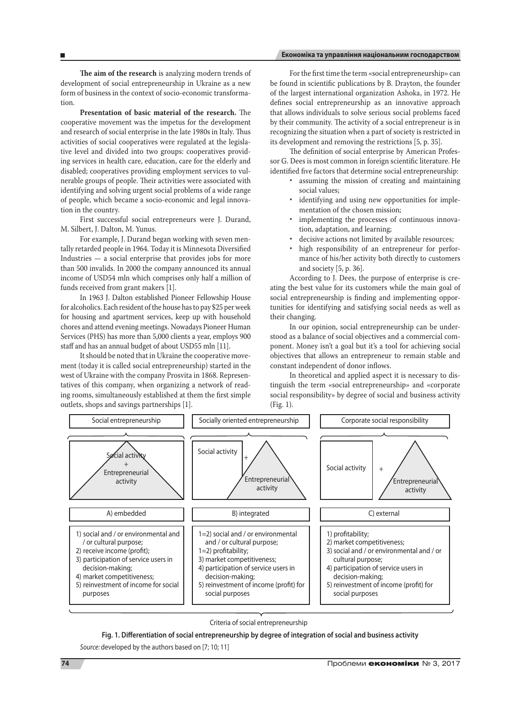# **Економіка та управління національним господарством**

**The aim of the research** is analyzing modern trends of development of social entrepreneurship in Ukraine as a new form of business in the context of socio-economic transformation.

**Presentation of basic material of the research.** The cooperative movement was the impetus for the development and research of social enterprise in the late 1980s in Italy. Thus activities of social cooperatives were regulated at the legislative level and divided into two groups: cooperatives providing services in health care, education, care for the elderly and disabled; cooperatives providing employment services to vulnerable groups of people. Their activities were associated with identifying and solving urgent social problems of a wide range of people, which became a socio-economic and legal innovation in the country.

First successful social entrepreneurs were J. Durand, M. Silbert, J. Dalton, M. Yunus.

For example, J. Durand began working with seven mentally retarded people in 1964. Today it is Minnesota Diversified Industries — a social enterprise that provides jobs for more than 500 invalids. In 2000 the company announced its annual income of USD54 mln which comprises only half a million of funds received from grant makers [1].

In 1963 J. Dalton established Pioneer Fellowship House for alcoholics. Each resident of the house has to pay \$25 per week for housing and apartment services, keep up with household chores and attend evening meetings. Nowadays Pioneer Human Services (PHS) has more than 5,000 clients a year, employs 900 staff and has an annual budget of about USD55 mln [11].

It should be noted that in Ukraine the cooperative movement (today it is called social entrepreneurship) started in the west of Ukraine with the company Prosvita in 1868. Representatives of this company, when organizing a network of reading rooms, simultaneously established at them the first simple outlets, shops and savings partnerships [1].

For the first time the term «social entrepreneurship» can be found in scientific publications by B. Drayton, the founder of the largest international organization Ashoka, in 1972. He defines social entrepreneurship as an innovative approach that allows individuals to solve serious social problems faced by their community. The activity of a social entrepreneur is in recognizing the situation when a part of society is restricted in its development and removing the restrictions [5, p. 35].

The definition of social enterprise by American Professor G. Dees is most common in foreign scientific literature. He identified five factors that determine social entrepreneurship:

- assuming the mission of creating and maintaining social values;
- identifying and using new opportunities for implementation of the chosen mission;
- implementing the processes of continuous innovation, adaptation, and learning;
- decisive actions not limited by available resources;
- high responsibility of an entrepreneur for performance of his/her activity both directly to customers and society [5, p. 36].

According to J. Dees, the purpose of enterprise is creating the best value for its customers while the main goal of social entrepreneurship is finding and implementing opportunities for identifying and satisfying social needs as well as their changing.

In our opinion, social entrepreneurship can be understood as a balance of social objectives and a commercial component. Money isn't a goal but it's a tool for achieving social objectives that allows an entrepreneur to remain stable and constant independent of donor inflows.

In theoretical and applied aspect it is necessary to distinguish the term «social entrepreneurship» and «corporate social responsibility» by degree of social and business activity (Fig. 1).



### Criteria of social entrepreneurship

# **Fig. 1. Differentiation of social entrepreneurship by degree of integration of social and business activity**

*source:* developed by the authors based on [7; 10; 11]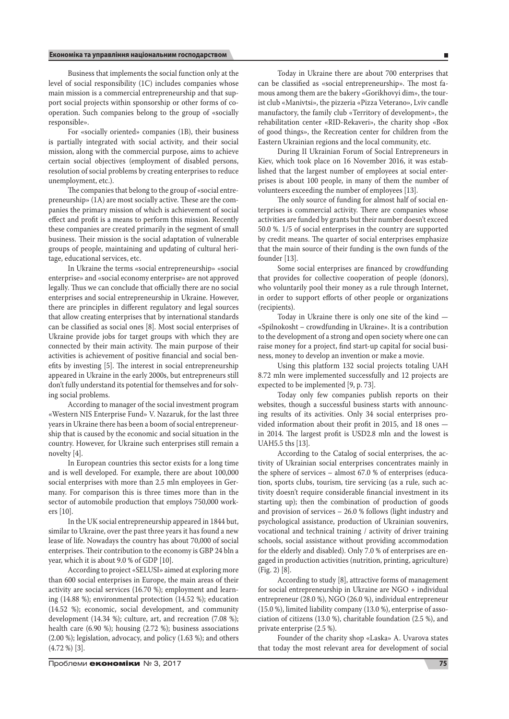Business that implements the social function only at the level of social responsibility (1C) includes companies whose main mission is a commercial entrepreneurship and that support social projects within sponsorship or other forms of cooperation. Such companies belong to the group of «socially responsible».

For «socially oriented» companies (1B), their business is partially integrated with social activity, and their social mission, along with the commercial purpose, aims to achieve certain social objectives (employment of disabled persons, resolution of social problems by creating enterprises to reduce unemployment, etc.).

The companies that belong to the group of «social entrepreneurship» (1A) are most socially active. These are the companies the primary mission of which is achievement of social effect and profit is a means to perform this mission. Recently these companies are created primarily in the segment of small business. Their mission is the social adaptation of vulnerable groups of people, maintaining and updating of cultural heritage, educational services, etc.

In Ukraine the terms «social entrepreneurship» «social enterprise» and «social economy enterprise» are not approved legally. Thus we can conclude that officially there are no social enterprises and social entrepreneurship in Ukraine. However, there are principles in different regulatory and legal sources that allow creating enterprises that by international standards can be classified as social ones [8]. Most social enterprises of Ukraine provide jobs for target groups with which they are connected by their main activity. The main purpose of their activities is achievement of positive financial and social benefits by investing [5]. The interest in social entrepreneurship appeared in Ukraine in the early 2000s, but entrepreneurs still don't fully understand its potential for themselves and for solving social problems.

According to manager of the social investment program «Western NIS Enterprise Fund» V. Nazaruk, for the last three years in Ukraine there has been a boom of social entrepreneurship that is caused by the economic and social situation in the country. However, for Ukraine such enterprises still remain a novelty [4].

In European countries this sector exists for a long time and is well developed. For example, there are about 100,000 social enterprises with more than 2.5 mln employees in Germany. For comparison this is three times more than in the sector of automobile production that employs 750,000 workers [10].

In the UK social entrepreneurship appeared in 1844 but, similar to Ukraine, over the past three years it has found a new lease of life. Nowadays the country has about 70,000 of social enterprises. Their contribution to the economy is GBP 24 bln a year, which it is about 9.0 % of GDP [10].

According to project «SELUSI» aimed at exploring more than 600 social enterprises in Europe, the main areas of their activity are social services (16.70 %); employment and learning (14.88 %); environmental protection (14.52 %); education (14.52 %); economic, social development, and community development (14.34 %); culture, art, and recreation (7.08 %); health care (6.90 %); housing (2.72 %); business associations (2.00 %); legislation, advocacy, and policy (1.63 %); and others (4.72 %) [3].

Today in Ukraine there are about 700 enterprises that can be classified as «social entrepreneurship». The most famous among them are the bakery «Gorikhovyi dim», the tourist club «Manivtsi», the pizzeria «Pizza Veterano», Lviv candle manufactory, the family club «Territory of development», the rehabilitation center «RID-Rekaveri», the charity shop «Box of good things», the Recreation center for children from the Eastern Ukrainian regions and the local community, etc.

During II Ukrainian Forum of Social Entrepreneurs in Kiev, which took place on 16 November 2016, it was established that the largest number of employees at social enterprises is about 100 people, in many of them the number of volunteers exceeding the number of employees [13].

The only source of funding for almost half of social enterprises is commercial activity. There are companies whose activities are funded by grants but their number doesn't exceed 50.0 %. 1/5 of social enterprises in the country are supported by credit means. The quarter of social enterprises emphasize that the main source of their funding is the own funds of the founder [13].

Some social enterprises are financed by crowdfunding that provides for collective cooperation of people (donors), who voluntarily pool their money as a rule through Internet, in order to support efforts of other people or organizations (recipients).

Today in Ukraine there is only one site of the kind — «Spilnokosht – crowdfunding in Ukraine». It is a contribution to the development of a strong and open society where one can raise money for a project, find start-up capital for social business, money to develop an invention or make a movie.

Using this platform 132 social projects totaling UAH 8.72 mln were implemented successfully and 12 projects are expected to be implemented [9, p. 73].

Today only few companies publish reports on their websites, though a successful business starts with announcing results of its activities. Only 34 social enterprises provided information about their profit in 2015, and 18 ones in 2014. The largest profit is USD2.8 mln and the lowest is UAH5.5 ths [13].

According to the Catalog of social enterprises, the activity of Ukrainian social enterprises concentrates mainly in the sphere of services – almost 67.0 % of enterprises (education, sports clubs, tourism, tire servicing (as a rule, such activity doesn't require considerable financial investment in its starting up); then the combination of production of goods and provision of services – 26.0 % follows (light industry and psychological assistance, production of Ukrainian souvenirs, vocational and technical training / activity of driver training schools, social assistance without providing accommodation for the elderly and disabled). Only 7.0 % of enterprises are engaged in production activities (nutrition, printing, agriculture) (Fig. 2) [8].

According to study [8], attractive forms of management for social entrepreneurship in Ukraine are NGO + individual entrepreneur (28.0 %), NGO (26.0 %), individual entrepreneur (15.0 %), limited liability company (13.0 %), enterprise of association of citizens (13.0 %), charitable foundation (2.5 %), and private enterprise (2.5 %).

Founder of the charity shop «Laska» A. Uvarova states that today the most relevant area for development of social

Проблеми економіки № 3, 2017 **75**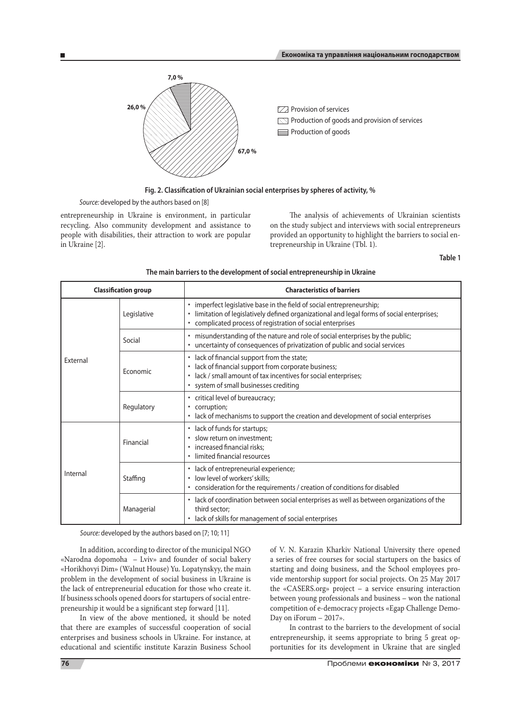

**Fig. 2. Classification of Ukrainian social enterprises by spheres of activity, %** 

*source:* developed by the authors based on [8]

entrepreneurship in Ukraine is environment, in particular recycling. Also community development and assistance to people with disabilities, their attraction to work are popular in Ukraine [2].

The analysis of achievements of Ukrainian scientists on the study subject and interviews with social entrepreneurs provided an opportunity to highlight the barriers to social entrepreneurship in Ukraine (Tbl. 1).

**Table 1**

| The main barriers to the development of social entrepreneurship in Ukraine |  |
|----------------------------------------------------------------------------|--|
|----------------------------------------------------------------------------|--|

| <b>Classification group</b> |             | <b>Characteristics of barriers</b>                                                                                                                                                                                                     |
|-----------------------------|-------------|----------------------------------------------------------------------------------------------------------------------------------------------------------------------------------------------------------------------------------------|
| <b>Fxternal</b>             | Legislative | · imperfect legislative base in the field of social entrepreneurship;<br>limitation of legislatively defined organizational and legal forms of social enterprises;<br>٠<br>• complicated process of registration of social enterprises |
|                             | Social      | · misunderstanding of the nature and role of social enterprises by the public;<br>• uncertainty of consequences of privatization of public and social services                                                                         |
|                             | Economic    | · lack of financial support from the state;<br>lack of financial support from corporate business;<br>٠<br>lack / small amount of tax incentives for social enterprises;<br>• system of small businesses crediting                      |
|                             | Regulatory  | • critical level of bureaucracy;<br>• corruption;<br>• lack of mechanisms to support the creation and development of social enterprises                                                                                                |
| Internal                    | Financial   | • lack of funds for startups;<br>slow return on investment;<br>· increased financial risks;<br>· limited financial resources                                                                                                           |
|                             | Staffing    | · lack of entrepreneurial experience;<br>low level of workers' skills;<br>٠<br>• consideration for the requirements / creation of conditions for disabled                                                                              |
|                             | Managerial  | lack of coordination between social enterprises as well as between organizations of the<br>third sector:<br>• lack of skills for management of social enterprises                                                                      |

*source:* developed by the authors based on [7; 10; 11]

In addition, according to director of the municipal NGO «Narodna dopomoha – Lviv» and founder of social bakery «Horikhovyi Dim» (Walnut House) Yu. Lopatynskyy, the main problem in the development of social business in Ukraine is the lack of entrepreneurial education for those who create it. If business schools opened doors for startupers of social entrepreneurship it would be a significant step forward [11].

In view of the above mentioned, it should be noted that there are examples of successful cooperation of social enterprises and business schools in Ukraine. For instance, at educational and scientific institute Karazin Business School of V. N. Karazin Kharkiv National University there opened a series of free courses for social startupers on the basics of starting and doing business, and the School employees provide mentorship support for social projects. On 25 May 2017 the «CASERS.org» project – a service ensuring interaction between young professionals and business – won the national competition of e-democracy projects «Egap Challenge Demo-Day on iForum – 2017».

In contrast to the barriers to the development of social entrepreneurship, it seems appropriate to bring 5 great opportunities for its development in Ukraine that are singled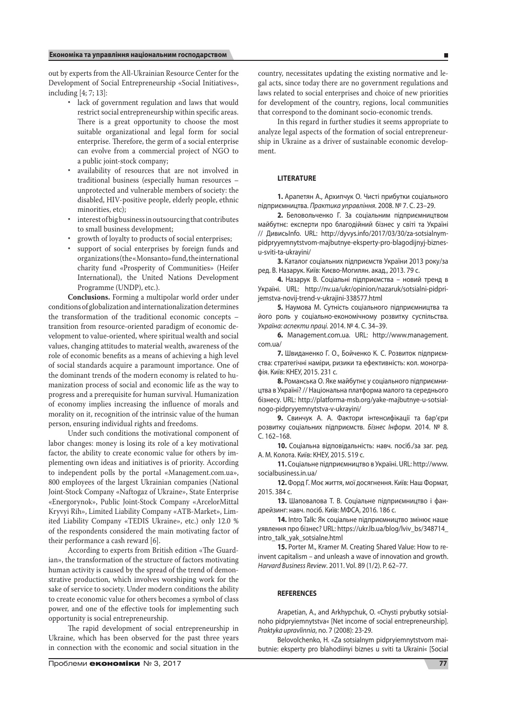out by experts from the All-Ukrainian Resource Center for the Development of Social Entrepreneurship «Social Initiatives», including [4; 7; 13]:

- lack of government regulation and laws that would restrict social entrepreneurship within specific areas. There is a great opportunity to choose the most suitable organizational and legal form for social enterprise. Therefore, the germ of a social enterprise can evolve from a commercial project of NGO to a public joint-stock company;
- availability of resources that are not involved in traditional business (especially human resources – unprotected and vulnerable members of society: the disabled, HIV-positive people, elderly people, ethnic minorities, etc);
- interest of big business in outsourcing that contributes to small business development;
- growth of loyalty to products of social enterprises;
- support of social enterprises by foreign funds and organizations (the «Monsanto» fund, the international charity fund «Prosperity of Communities» (Heifer International), the United Nations Development Programme (UNDP), etc.).

**Conclusions.** Forming a multipolar world order under conditions of globalization and internationalization determines the transformation of the traditional economic concepts – transition from resource-oriented paradigm of economic development to value-oriented, where spiritual wealth and social values, changing attitudes to material wealth, awareness of the role of economic benefits as a means of achieving a high level of social standards acquire a paramount importance. One of the dominant trends of the modern economy is related to humanization process of social and economic life as the way to progress and a prerequisite for human survival. Humanization of economy implies increasing the influence of morals and morality on it, recognition of the intrinsic value of the human person, ensuring individual rights and freedoms.

Under such conditions the motivational component of labor changes: money is losing its role of a key motivational factor, the ability to create economic value for others by implementing own ideas and initiatives is of priority. According to independent polls by the portal «Management.com.ua», 800 employees of the largest Ukrainian companies (National Joint-Stock Company «Naftogaz of Ukraine», State Enterprise «Energorynok», Public Joint-Stock Company «ArcelorMittal Kryvyi Rih», Limited Liability Company «ATB-Market», Limited Liability Company «TEDIS Ukraine», etc.) only 12.0 % of the respondents considered the main motivating factor of their performance a cash reward [6].

According to experts from British edition «The Guardian», the transformation of the structure of factors motivating human activity is caused by the spread of the trend of demonstrative production, which involves worshiping work for the sake of service to society. Under modern conditions the ability to create economic value for others becomes a symbol of class power, and one of the effective tools for implementing such opportunity is social entrepreneurship.

The rapid development of social entrepreneurship in Ukraine, which has been observed for the past three years in connection with the economic and social situation in the

Проблеми економіки № 3, 2017 **77**

country, necessitates updating the existing normative and legal acts, since today there are no government regulations and laws related to social enterprises and choice of new priorities for development of the country, regions, local communities that correspond to the dominant socio-economic trends.

In this regard in further studies it seems appropriate to analyze legal aspects of the formation of social entrepreneurship in Ukraine as a driver of sustainable economic development.

### **literature**

**1.** Арапетян А., Архипчук О. Чисті прибутки соціального підприємництва. *Практика управління*. 2008. № 7. С. 23–29.

**2.** Беловольченко Г. За соціальним підприємництвом майбутнє: експерти про благодійний бізнес у світі та Україні // ДивисьInfo. URL: http://dyvys.info/2017/03/30/za-sotsialnympidpryyemnytstvom-majbutnye-eksperty-pro-blagodijnyj-biznesu-sviti-ta-ukrayini/

**3.** Каталог соціальних підприємств України 2013 року/за ред. В. Назарук. Київ: Києво-Могилян. акад., 2013. 79 с.

**4.** Назарук В. Соціальні підприємства – новий тренд в Україні. URL: http://nv.ua/ukr/opinion/nazaruk/sotsialni-pidprijemstva-novij-trend-v-ukrajini-338577.html

**5.** Наумова М. Сутність соціального підприємництва та його роль у соціально-економічному розвитку суспільства. *Україна: аспекти праці.* 2014. № 4. С. 34–39.

**6.** Management.com.ua. URL: http://www.management. com.ua/

**7.** Швиданенко Г. О., Бойченко К. С. Розвиток підприємства: стратегічні наміри, ризики та ефективність: кол. монографія. Київ: КНЕУ, 2015. 231 с.

**8.** Романська О. Яке майбутнє у соціального підприємництва в Україні? // Національна платформа малого та середнього бізнесу. URL: http://platforma-msb.org/yake-majbutnye-u-sotsialnogo-pidpryyemnytstva-v-ukrayini/

**9.** Свинчук А. А. Фактори інтенсифікації та бар'єри розвитку соціальних підприємств. *Бізнес Інформ.* 2014. № 8. С. 162–168.

**10.** Соціальна відповідальність: навч. посіб./за заг. ред. А. М. Колота. Київ: КНЕУ, 2015. 519 с.

**11.** Соціальне підприємництво в Україні. URL: http://www. socialbusiness.in.ua/

**12.** Форд Г. Моє життя, мої досягнення. Київ: Наш Формат, 2015. 384 с.

**13.** Шаповалова Т. В. Соціальне підприємництво і фандрейзинг: навч. посіб. Київ: МФСА, 2016. 186 с.

**14.** Intro Talk: Як соціальне підприємництво змінює наше уявлення про бізнес? URL: https://ukr.lb.ua/blog/lviv\_bs/348714\_ intro\_talk\_yak\_sotsialne.html

**15.** Porter M., Kramer M. Creating Shared Value: How to reinvent capitalism – and unleash a wave of innovation and growth. *Harvard Business Review*. 2011. Vol. 89 (1/2). Р. 62–77.

### **REFERENCES**

Arapetian, A., and Arkhypchuk, O. «Chysti prybutky sotsialnoho pidpryiemnytstva« [Net income of social entrepreneurship]. *Praktyka upravlinnia*, no. 7 (2008): 23-29.

Belovolchenko, H. «Za sotsialnym pidpryiemnytstvom maibutnie: eksperty pro blahodiinyi biznes u sviti ta Ukraini« [Social